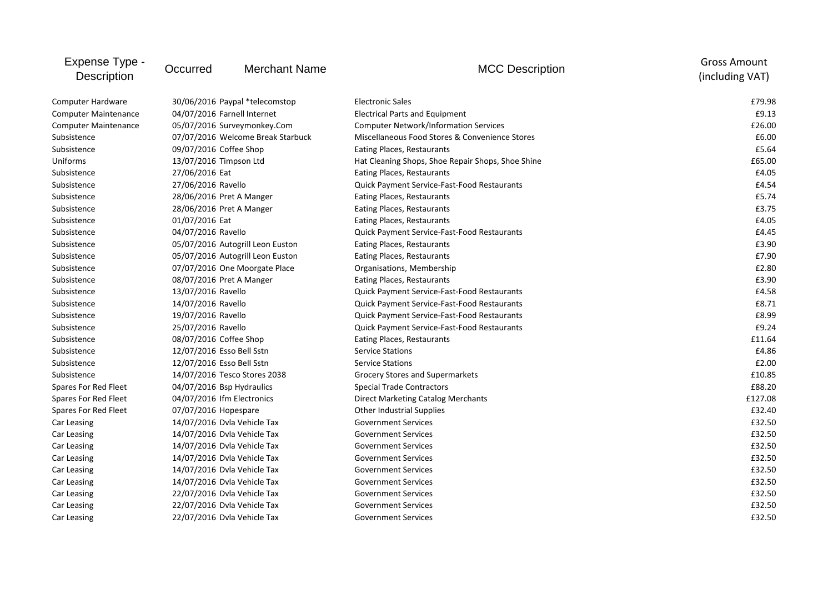| Expense Type -<br><b>Description</b> | Occurred                          | <b>Merchant Name</b>             | <b>MCC Description</b>                             | <b>Gross Amount</b><br>(including VAT) |
|--------------------------------------|-----------------------------------|----------------------------------|----------------------------------------------------|----------------------------------------|
| Computer Hardware                    |                                   | 30/06/2016 Paypal *telecomstop   | <b>Electronic Sales</b>                            | £79.98                                 |
| <b>Computer Maintenance</b>          | 04/07/2016 Farnell Internet       |                                  | <b>Electrical Parts and Equipment</b>              | £9.13                                  |
| <b>Computer Maintenance</b>          | 05/07/2016 Surveymonkey.Com       |                                  | <b>Computer Network/Information Services</b>       | £26.00                                 |
| Subsistence                          | 07/07/2016 Welcome Break Starbuck |                                  | Miscellaneous Food Stores & Convenience Stores     | £6.00                                  |
| Subsistence                          | 09/07/2016 Coffee Shop            |                                  | Eating Places, Restaurants                         | £5.64                                  |
| Uniforms                             | 13/07/2016 Timpson Ltd            |                                  | Hat Cleaning Shops, Shoe Repair Shops, Shoe Shine  | £65.00                                 |
| Subsistence                          | 27/06/2016 Eat                    |                                  | Eating Places, Restaurants                         | £4.05                                  |
| Subsistence                          | 27/06/2016 Ravello                |                                  | Quick Payment Service-Fast-Food Restaurants        | £4.54                                  |
| Subsistence                          | 28/06/2016 Pret A Manger          |                                  | Eating Places, Restaurants                         | £5.74                                  |
| Subsistence                          | 28/06/2016 Pret A Manger          |                                  | Eating Places, Restaurants                         | £3.75                                  |
| Subsistence                          | 01/07/2016 Eat                    |                                  | Eating Places, Restaurants                         | £4.05                                  |
| Subsistence                          | 04/07/2016 Ravello                |                                  | <b>Quick Payment Service-Fast-Food Restaurants</b> | £4.45                                  |
| Subsistence                          |                                   | 05/07/2016 Autogrill Leon Euston | Eating Places, Restaurants                         | £3.90                                  |
| Subsistence                          |                                   | 05/07/2016 Autogrill Leon Euston | Eating Places, Restaurants                         | £7.90                                  |
| Subsistence                          |                                   | 07/07/2016 One Moorgate Place    | Organisations, Membership                          | £2.80                                  |
| Subsistence                          | 08/07/2016 Pret A Manger          |                                  | Eating Places, Restaurants                         | £3.90                                  |
| Subsistence                          | 13/07/2016 Ravello                |                                  | <b>Quick Payment Service-Fast-Food Restaurants</b> | £4.58                                  |
| Subsistence                          | 14/07/2016 Ravello                |                                  | Quick Payment Service-Fast-Food Restaurants        | £8.71                                  |
| Subsistence                          | 19/07/2016 Ravello                |                                  | Quick Payment Service-Fast-Food Restaurants        | £8.99                                  |
| Subsistence                          | 25/07/2016 Ravello                |                                  | <b>Quick Payment Service-Fast-Food Restaurants</b> | £9.24                                  |
| Subsistence                          | 08/07/2016 Coffee Shop            |                                  | Eating Places, Restaurants                         | £11.64                                 |
| Subsistence                          | 12/07/2016 Esso Bell Sstn         |                                  | <b>Service Stations</b>                            | £4.86                                  |
| Subsistence                          | 12/07/2016 Esso Bell Sstn         |                                  | <b>Service Stations</b>                            | £2.00                                  |
| Subsistence                          |                                   | 14/07/2016 Tesco Stores 2038     | Grocery Stores and Supermarkets                    | £10.85                                 |
| Spares For Red Fleet                 | 04/07/2016 Bsp Hydraulics         |                                  | <b>Special Trade Contractors</b>                   | £88.20                                 |
| Spares For Red Fleet                 | 04/07/2016 Ifm Electronics        |                                  | <b>Direct Marketing Catalog Merchants</b>          | £127.08                                |
| Spares For Red Fleet                 | 07/07/2016 Hopespare              |                                  | <b>Other Industrial Supplies</b>                   | £32.40                                 |
| Car Leasing                          | 14/07/2016 Dyla Vehicle Tax       |                                  | <b>Government Services</b>                         | £32.50                                 |
| Car Leasing                          | 14/07/2016 Dyla Vehicle Tax       |                                  | <b>Government Services</b>                         | £32.50                                 |
| Car Leasing                          | 14/07/2016 Dvla Vehicle Tax       |                                  | <b>Government Services</b>                         | £32.50                                 |
| Car Leasing                          | 14/07/2016 Dyla Vehicle Tax       |                                  | <b>Government Services</b>                         | £32.50                                 |
| Car Leasing                          | 14/07/2016 Dyla Vehicle Tax       |                                  | <b>Government Services</b>                         | £32.50                                 |
| Car Leasing                          | 14/07/2016 Dyla Vehicle Tax       |                                  | <b>Government Services</b>                         | £32.50                                 |
| Car Leasing                          | 22/07/2016 Dyla Vehicle Tax       |                                  | <b>Government Services</b>                         | £32.50                                 |
| Car Leasing                          | 22/07/2016 Dvla Vehicle Tax       |                                  | <b>Government Services</b>                         | £32.50                                 |
| Car Leasing                          | 22/07/2016 Dvla Vehicle Tax       |                                  | <b>Government Services</b>                         | £32.50                                 |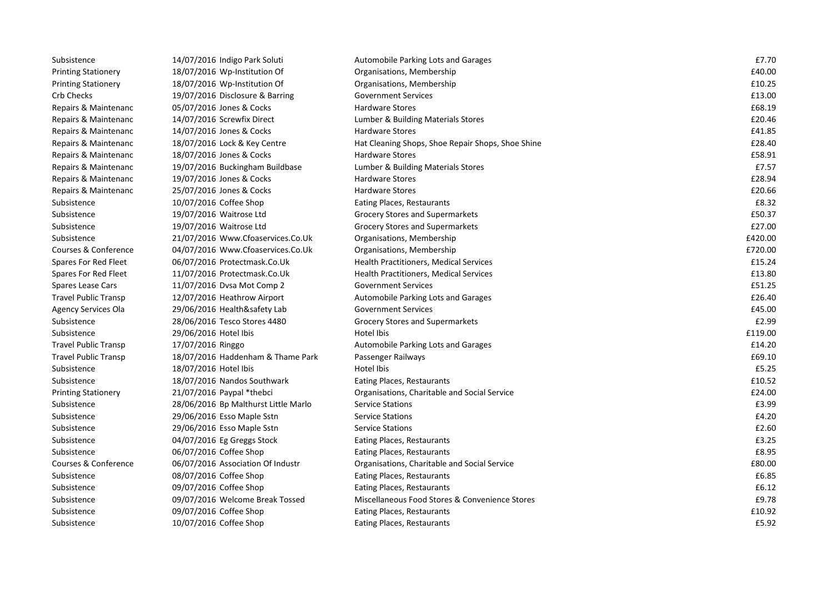| Subsistence                 | 14/07/2016 Indigo Park Soluti        | Automobile Parking Lots and Garages               | £7.70   |
|-----------------------------|--------------------------------------|---------------------------------------------------|---------|
| <b>Printing Stationery</b>  | 18/07/2016 Wp-Institution Of         | Organisations, Membership                         | £40.00  |
| <b>Printing Stationery</b>  | 18/07/2016 Wp-Institution Of         | Organisations, Membership                         | £10.25  |
| Crb Checks                  | 19/07/2016 Disclosure & Barring      | <b>Government Services</b>                        | £13.00  |
| Repairs & Maintenanc        | 05/07/2016 Jones & Cocks             | <b>Hardware Stores</b>                            | £68.19  |
| Repairs & Maintenanc        | 14/07/2016 Screwfix Direct           | Lumber & Building Materials Stores                | £20.46  |
| Repairs & Maintenanc        | 14/07/2016 Jones & Cocks             | <b>Hardware Stores</b>                            | £41.85  |
| Repairs & Maintenanc        | 18/07/2016 Lock & Key Centre         | Hat Cleaning Shops, Shoe Repair Shops, Shoe Shine | £28.40  |
| Repairs & Maintenanc        | 18/07/2016 Jones & Cocks             | <b>Hardware Stores</b>                            | £58.91  |
| Repairs & Maintenanc        | 19/07/2016 Buckingham Buildbase      | Lumber & Building Materials Stores                | £7.57   |
| Repairs & Maintenanc        | 19/07/2016 Jones & Cocks             | <b>Hardware Stores</b>                            | £28.94  |
| Repairs & Maintenanc        | 25/07/2016 Jones & Cocks             | <b>Hardware Stores</b>                            | £20.66  |
| Subsistence                 | 10/07/2016 Coffee Shop               | Eating Places, Restaurants                        | £8.32   |
| Subsistence                 | 19/07/2016 Waitrose Ltd              | Grocery Stores and Supermarkets                   | £50.37  |
| Subsistence                 | 19/07/2016 Waitrose Ltd              | Grocery Stores and Supermarkets                   | £27.00  |
| Subsistence                 | 21/07/2016 Www.Cfoaservices.Co.Uk    | Organisations, Membership                         | £420.00 |
| Courses & Conference        | 04/07/2016 Www.Cfoaservices.Co.Uk    | Organisations, Membership                         | £720.00 |
| Spares For Red Fleet        | 06/07/2016 Protectmask.Co.Uk         | Health Practitioners, Medical Services            | £15.24  |
| Spares For Red Fleet        | 11/07/2016 Protectmask.Co.Uk         | Health Practitioners, Medical Services            | £13.80  |
| Spares Lease Cars           | 11/07/2016 Dvsa Mot Comp 2           | <b>Government Services</b>                        | £51.25  |
| <b>Travel Public Transp</b> | 12/07/2016 Heathrow Airport          | Automobile Parking Lots and Garages               | £26.40  |
| <b>Agency Services Ola</b>  | 29/06/2016 Health&safety Lab         | <b>Government Services</b>                        | £45.00  |
| Subsistence                 | 28/06/2016 Tesco Stores 4480         | <b>Grocery Stores and Supermarkets</b>            | £2.99   |
| Subsistence                 | 29/06/2016 Hotel Ibis                | Hotel Ibis                                        | £119.00 |
| <b>Travel Public Transp</b> | 17/07/2016 Ringgo                    | Automobile Parking Lots and Garages               | £14.20  |
| <b>Travel Public Transp</b> | 18/07/2016 Haddenham & Thame Park    | Passenger Railways                                | £69.10  |
| Subsistence                 | 18/07/2016 Hotel Ibis                | Hotel Ibis                                        | £5.25   |
| Subsistence                 | 18/07/2016 Nandos Southwark          | Eating Places, Restaurants                        | £10.52  |
| <b>Printing Stationery</b>  | 21/07/2016 Paypal *thebci            | Organisations, Charitable and Social Service      | £24.00  |
| Subsistence                 | 28/06/2016 Bp Malthurst Little Marlo | <b>Service Stations</b>                           | £3.99   |
| Subsistence                 | 29/06/2016 Esso Maple Sstn           | <b>Service Stations</b>                           | £4.20   |
| Subsistence                 | 29/06/2016 Esso Maple Sstn           | <b>Service Stations</b>                           | £2.60   |
| Subsistence                 | 04/07/2016 Eg Greggs Stock           | Eating Places, Restaurants                        | £3.25   |
| Subsistence                 | 06/07/2016 Coffee Shop               | Eating Places, Restaurants                        | £8.95   |
| Courses & Conference        | 06/07/2016 Association Of Industr    | Organisations, Charitable and Social Service      | £80.00  |
| Subsistence                 | 08/07/2016 Coffee Shop               | Eating Places, Restaurants                        | £6.85   |
| Subsistence                 | 09/07/2016 Coffee Shop               | Eating Places, Restaurants                        | £6.12   |
| Subsistence                 | 09/07/2016 Welcome Break Tossed      | Miscellaneous Food Stores & Convenience Stores    | £9.78   |
| Subsistence                 | 09/07/2016 Coffee Shop               | Eating Places, Restaurants                        | £10.92  |
| Subsistence                 | 10/07/2016 Coffee Shop               | Eating Places, Restaurants                        | £5.92   |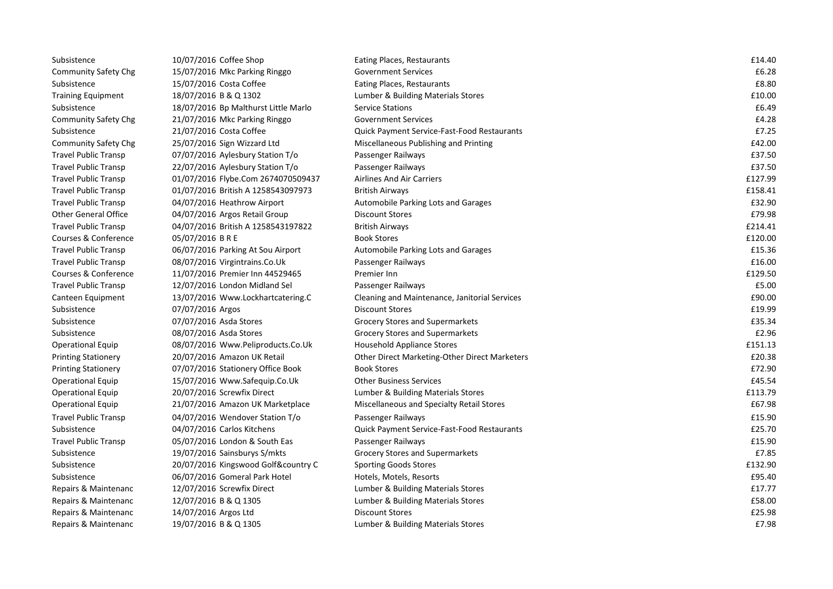| Subsistence                 | 10/07/2016 Coffee Shop               | Eating Places, Restaurants                         | £14.40  |
|-----------------------------|--------------------------------------|----------------------------------------------------|---------|
| <b>Community Safety Chg</b> | 15/07/2016 Mkc Parking Ringgo        | <b>Government Services</b>                         | £6.28   |
| Subsistence                 | 15/07/2016 Costa Coffee              | Eating Places, Restaurants                         | £8.80   |
| <b>Training Equipment</b>   | 18/07/2016 B & Q 1302                | Lumber & Building Materials Stores                 | £10.00  |
| Subsistence                 | 18/07/2016 Bp Malthurst Little Marlo | <b>Service Stations</b>                            | £6.49   |
| <b>Community Safety Chg</b> | 21/07/2016 Mkc Parking Ringgo        | <b>Government Services</b>                         | £4.28   |
| Subsistence                 | 21/07/2016 Costa Coffee              | <b>Quick Payment Service-Fast-Food Restaurants</b> | £7.25   |
| <b>Community Safety Chg</b> | 25/07/2016 Sign Wizzard Ltd          | Miscellaneous Publishing and Printing              | £42.00  |
| <b>Travel Public Transp</b> | 07/07/2016 Aylesbury Station T/o     | Passenger Railways                                 | £37.50  |
| <b>Travel Public Transp</b> | 22/07/2016 Aylesbury Station T/o     | Passenger Railways                                 | £37.50  |
| <b>Travel Public Transp</b> | 01/07/2016 Flybe.Com 2674070509437   | <b>Airlines And Air Carriers</b>                   | £127.99 |
| Travel Public Transp        | 01/07/2016 British A 1258543097973   | <b>British Airways</b>                             | £158.41 |
| Travel Public Transp        | 04/07/2016 Heathrow Airport          | Automobile Parking Lots and Garages                | £32.90  |
| <b>Other General Office</b> | 04/07/2016 Argos Retail Group        | <b>Discount Stores</b>                             | £79.98  |
| <b>Travel Public Transp</b> | 04/07/2016 British A 1258543197822   | <b>British Airways</b>                             | £214.41 |
| Courses & Conference        | 05/07/2016 BRE                       | <b>Book Stores</b>                                 | £120.00 |
| <b>Travel Public Transp</b> | 06/07/2016 Parking At Sou Airport    | <b>Automobile Parking Lots and Garages</b>         | £15.36  |
| <b>Travel Public Transp</b> | 08/07/2016 Virgintrains.Co.Uk        | Passenger Railways                                 | £16.00  |
| Courses & Conference        | 11/07/2016 Premier Inn 44529465      | Premier Inn                                        | £129.50 |
| Travel Public Transp        | 12/07/2016 London Midland Sel        | Passenger Railways                                 | £5.00   |
| Canteen Equipment           | 13/07/2016 Www.Lockhartcatering.C    | Cleaning and Maintenance, Janitorial Services      | £90.00  |
| Subsistence                 | 07/07/2016 Argos                     | <b>Discount Stores</b>                             | £19.99  |
| Subsistence                 | 07/07/2016 Asda Stores               | <b>Grocery Stores and Supermarkets</b>             | £35.34  |
| Subsistence                 | 08/07/2016 Asda Stores               | <b>Grocery Stores and Supermarkets</b>             | £2.96   |
| <b>Operational Equip</b>    | 08/07/2016 Www.Peliproducts.Co.Uk    | <b>Household Appliance Stores</b>                  | £151.13 |
| <b>Printing Stationery</b>  | 20/07/2016 Amazon UK Retail          | Other Direct Marketing-Other Direct Marketers      | £20.38  |
| <b>Printing Stationery</b>  | 07/07/2016 Stationery Office Book    | <b>Book Stores</b>                                 | £72.90  |
| <b>Operational Equip</b>    | 15/07/2016 Www.Safequip.Co.Uk        | <b>Other Business Services</b>                     | £45.54  |
| <b>Operational Equip</b>    | 20/07/2016 Screwfix Direct           | Lumber & Building Materials Stores                 | £113.79 |
| <b>Operational Equip</b>    | 21/07/2016 Amazon UK Marketplace     | Miscellaneous and Specialty Retail Stores          | £67.98  |
| Travel Public Transp        | 04/07/2016 Wendover Station T/o      | Passenger Railways                                 | £15.90  |
| Subsistence                 | 04/07/2016 Carlos Kitchens           | Quick Payment Service-Fast-Food Restaurants        | £25.70  |
| Travel Public Transp        | 05/07/2016 London & South Eas        | Passenger Railways                                 | £15.90  |
| Subsistence                 | 19/07/2016 Sainsburys S/mkts         | <b>Grocery Stores and Supermarkets</b>             | £7.85   |
| Subsistence                 | 20/07/2016 Kingswood Golf&country C  | <b>Sporting Goods Stores</b>                       | £132.90 |
| Subsistence                 | 06/07/2016 Gomeral Park Hotel        | Hotels, Motels, Resorts                            | £95.40  |
| Repairs & Maintenanc        | 12/07/2016 Screwfix Direct           | Lumber & Building Materials Stores                 | £17.77  |
| Repairs & Maintenanc        | 12/07/2016 B & Q 1305                | Lumber & Building Materials Stores                 | £58.00  |
| Repairs & Maintenanc        | 14/07/2016 Argos Ltd                 | <b>Discount Stores</b>                             | £25.98  |
| Repairs & Maintenanc        | 19/07/2016 B & Q 1305                | Lumber & Building Materials Stores                 | £7.98   |